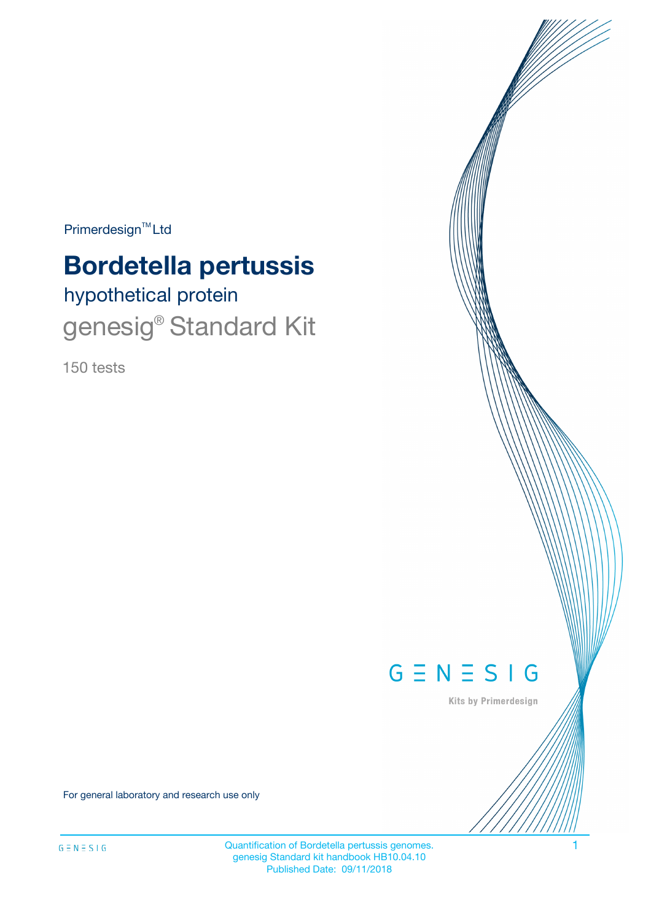$Primerdesign^{TM}$ Ltd

# **Bordetella pertussis**

# hypothetical protein genesig<sup>®</sup> Standard Kit

150 tests



Kits by Primerdesign

For general laboratory and research use only

Quantification of Bordetella pertussis genomes. 1 genesig Standard kit handbook HB10.04.10 Published Date: 09/11/2018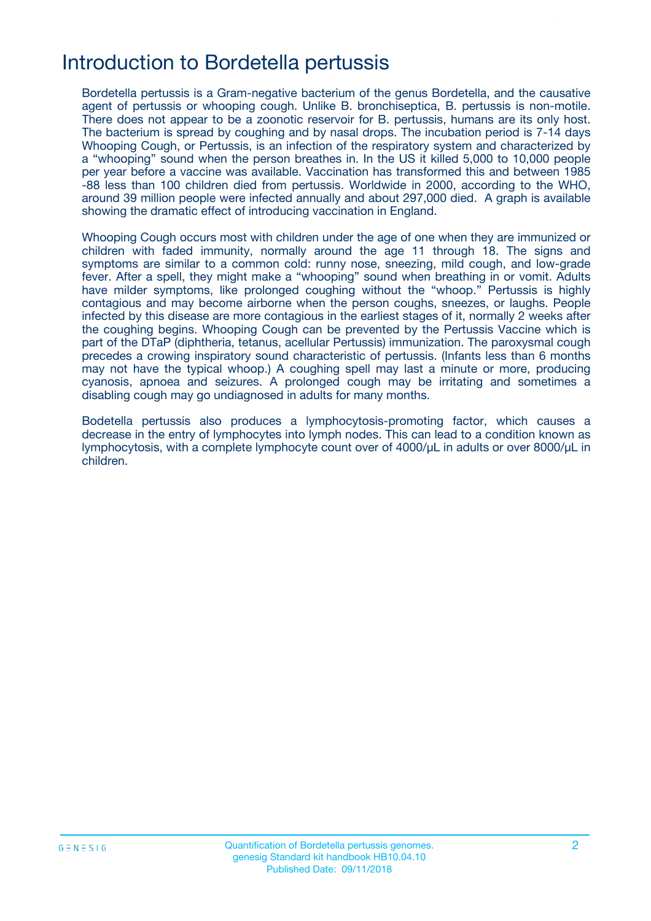## Introduction to Bordetella pertussis

Bordetella pertussis is a Gram-negative bacterium of the genus Bordetella, and the causative agent of pertussis or whooping cough. Unlike B. bronchiseptica, B. pertussis is non-motile. There does not appear to be a zoonotic reservoir for B. pertussis, humans are its only host. The bacterium is spread by coughing and by nasal drops. The incubation period is 7-14 days Whooping Cough, or Pertussis, is an infection of the respiratory system and characterized by a "whooping" sound when the person breathes in. In the US it killed 5,000 to 10,000 people per year before a vaccine was available. Vaccination has transformed this and between 1985 -88 less than 100 children died from pertussis. Worldwide in 2000, according to the WHO, around 39 million people were infected annually and about 297,000 died. A graph is available showing the dramatic effect of introducing vaccination in England.

Whooping Cough occurs most with children under the age of one when they are immunized or children with faded immunity, normally around the age 11 through 18. The signs and symptoms are similar to a common cold: runny nose, sneezing, mild cough, and low-grade fever. After a spell, they might make a "whooping" sound when breathing in or vomit. Adults have milder symptoms, like prolonged coughing without the "whoop." Pertussis is highly contagious and may become airborne when the person coughs, sneezes, or laughs. People infected by this disease are more contagious in the earliest stages of it, normally 2 weeks after the coughing begins. Whooping Cough can be prevented by the Pertussis Vaccine which is part of the DTaP (diphtheria, tetanus, acellular Pertussis) immunization. The paroxysmal cough precedes a crowing inspiratory sound characteristic of pertussis. (Infants less than 6 months may not have the typical whoop.) A coughing spell may last a minute or more, producing cyanosis, apnoea and seizures. A prolonged cough may be irritating and sometimes a disabling cough may go undiagnosed in adults for many months.

Bodetella pertussis also produces a lymphocytosis-promoting factor, which causes a decrease in the entry of lymphocytes into lymph nodes. This can lead to a condition known as lymphocytosis, with a complete lymphocyte count over of 4000/μL in adults or over 8000/μL in children.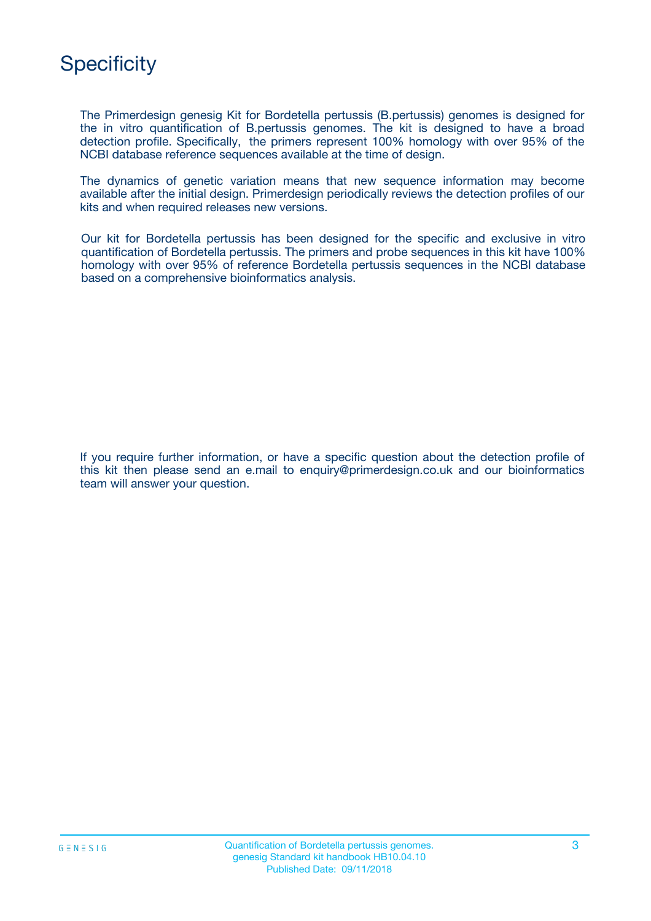

The Primerdesign genesig Kit for Bordetella pertussis (B.pertussis) genomes is designed for the in vitro quantification of B.pertussis genomes. The kit is designed to have a broad detection profile. Specifically, the primers represent 100% homology with over 95% of the NCBI database reference sequences available at the time of design.

The dynamics of genetic variation means that new sequence information may become available after the initial design. Primerdesign periodically reviews the detection profiles of our kits and when required releases new versions.

Our kit for Bordetella pertussis has been designed for the specific and exclusive in vitro quantification of Bordetella pertussis. The primers and probe sequences in this kit have 100% homology with over 95% of reference Bordetella pertussis sequences in the NCBI database based on a comprehensive bioinformatics analysis.

If you require further information, or have a specific question about the detection profile of this kit then please send an e.mail to enquiry@primerdesign.co.uk and our bioinformatics team will answer your question.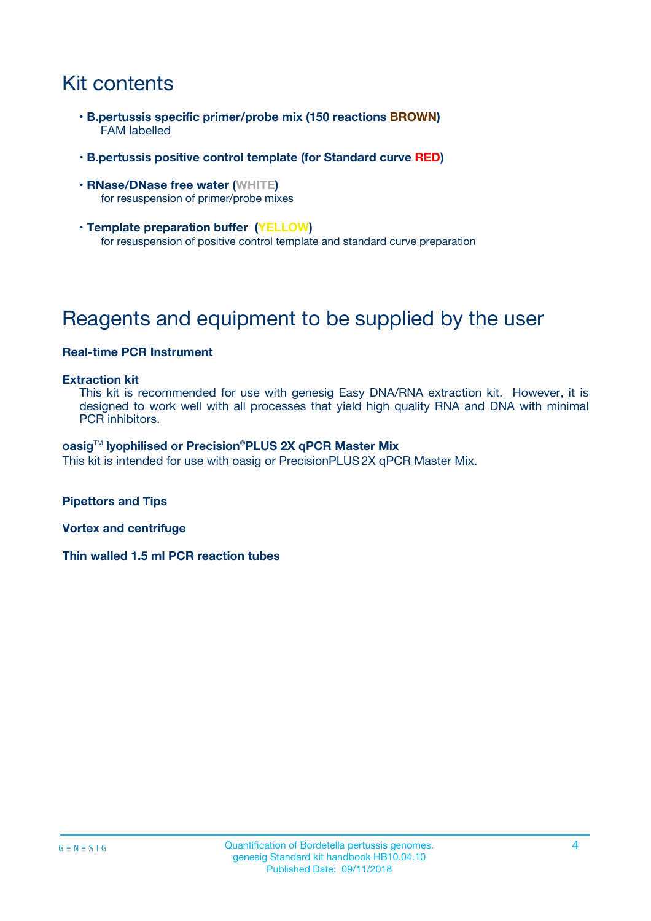# Kit contents

- **B.pertussis specific primer/probe mix (150 reactions BROWN)** FAM labelled
- **B.pertussis positive control template (for Standard curve RED)**
- **RNase/DNase free water (WHITE)** for resuspension of primer/probe mixes
- **Template preparation buffer (YELLOW)** for resuspension of positive control template and standard curve preparation

# Reagents and equipment to be supplied by the user

### **Real-time PCR Instrument**

#### **Extraction kit**

This kit is recommended for use with genesig Easy DNA/RNA extraction kit. However, it is designed to work well with all processes that yield high quality RNA and DNA with minimal PCR inhibitors.

#### **oasig**TM **lyophilised or Precision**®**PLUS 2X qPCR Master Mix**

This kit is intended for use with oasig or PrecisionPLUS2X qPCR Master Mix.

**Pipettors and Tips**

**Vortex and centrifuge**

**Thin walled 1.5 ml PCR reaction tubes**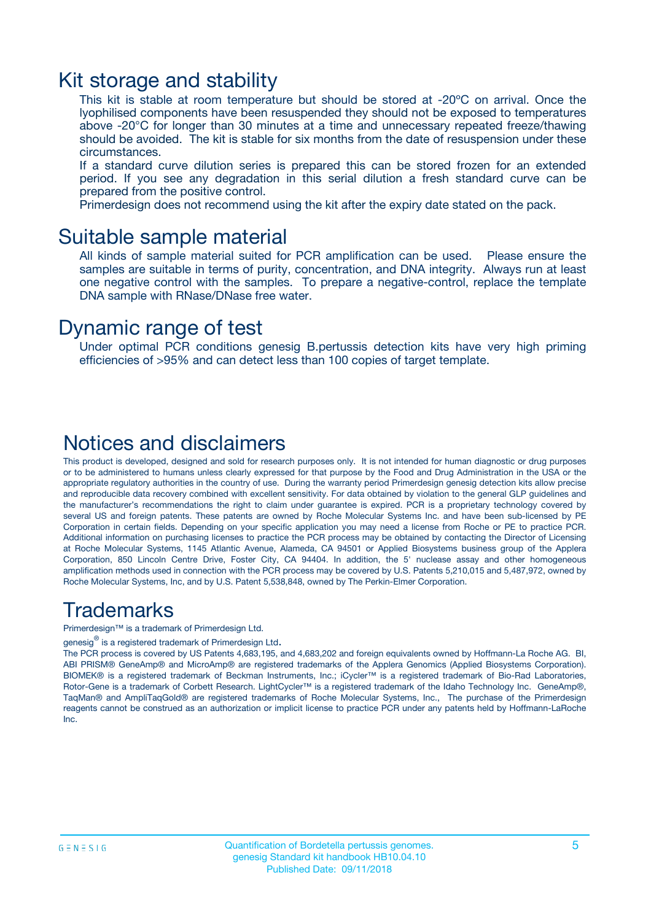### Kit storage and stability

This kit is stable at room temperature but should be stored at -20ºC on arrival. Once the lyophilised components have been resuspended they should not be exposed to temperatures above -20°C for longer than 30 minutes at a time and unnecessary repeated freeze/thawing should be avoided. The kit is stable for six months from the date of resuspension under these circumstances.

If a standard curve dilution series is prepared this can be stored frozen for an extended period. If you see any degradation in this serial dilution a fresh standard curve can be prepared from the positive control.

Primerdesign does not recommend using the kit after the expiry date stated on the pack.

### Suitable sample material

All kinds of sample material suited for PCR amplification can be used. Please ensure the samples are suitable in terms of purity, concentration, and DNA integrity. Always run at least one negative control with the samples. To prepare a negative-control, replace the template DNA sample with RNase/DNase free water.

### Dynamic range of test

Under optimal PCR conditions genesig B.pertussis detection kits have very high priming efficiencies of >95% and can detect less than 100 copies of target template.

### Notices and disclaimers

This product is developed, designed and sold for research purposes only. It is not intended for human diagnostic or drug purposes or to be administered to humans unless clearly expressed for that purpose by the Food and Drug Administration in the USA or the appropriate regulatory authorities in the country of use. During the warranty period Primerdesign genesig detection kits allow precise and reproducible data recovery combined with excellent sensitivity. For data obtained by violation to the general GLP guidelines and the manufacturer's recommendations the right to claim under guarantee is expired. PCR is a proprietary technology covered by several US and foreign patents. These patents are owned by Roche Molecular Systems Inc. and have been sub-licensed by PE Corporation in certain fields. Depending on your specific application you may need a license from Roche or PE to practice PCR. Additional information on purchasing licenses to practice the PCR process may be obtained by contacting the Director of Licensing at Roche Molecular Systems, 1145 Atlantic Avenue, Alameda, CA 94501 or Applied Biosystems business group of the Applera Corporation, 850 Lincoln Centre Drive, Foster City, CA 94404. In addition, the 5' nuclease assay and other homogeneous amplification methods used in connection with the PCR process may be covered by U.S. Patents 5,210,015 and 5,487,972, owned by Roche Molecular Systems, Inc, and by U.S. Patent 5,538,848, owned by The Perkin-Elmer Corporation.

### Trademarks

Primerdesign™ is a trademark of Primerdesign Ltd.

genesig $^\circledR$  is a registered trademark of Primerdesign Ltd.

The PCR process is covered by US Patents 4,683,195, and 4,683,202 and foreign equivalents owned by Hoffmann-La Roche AG. BI, ABI PRISM® GeneAmp® and MicroAmp® are registered trademarks of the Applera Genomics (Applied Biosystems Corporation). BIOMEK® is a registered trademark of Beckman Instruments, Inc.; iCycler™ is a registered trademark of Bio-Rad Laboratories, Rotor-Gene is a trademark of Corbett Research. LightCycler™ is a registered trademark of the Idaho Technology Inc. GeneAmp®, TaqMan® and AmpliTaqGold® are registered trademarks of Roche Molecular Systems, Inc., The purchase of the Primerdesign reagents cannot be construed as an authorization or implicit license to practice PCR under any patents held by Hoffmann-LaRoche Inc.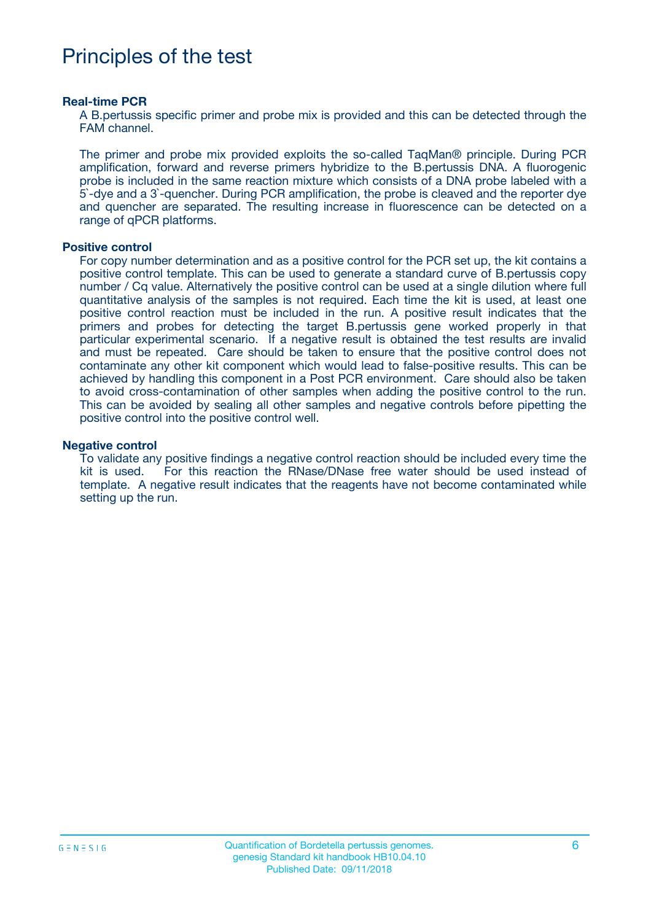## Principles of the test

#### **Real-time PCR**

A B.pertussis specific primer and probe mix is provided and this can be detected through the FAM channel.

The primer and probe mix provided exploits the so-called TaqMan® principle. During PCR amplification, forward and reverse primers hybridize to the B.pertussis DNA. A fluorogenic probe is included in the same reaction mixture which consists of a DNA probe labeled with a 5`-dye and a 3`-quencher. During PCR amplification, the probe is cleaved and the reporter dye and quencher are separated. The resulting increase in fluorescence can be detected on a range of qPCR platforms.

#### **Positive control**

For copy number determination and as a positive control for the PCR set up, the kit contains a positive control template. This can be used to generate a standard curve of B.pertussis copy number / Cq value. Alternatively the positive control can be used at a single dilution where full quantitative analysis of the samples is not required. Each time the kit is used, at least one positive control reaction must be included in the run. A positive result indicates that the primers and probes for detecting the target B.pertussis gene worked properly in that particular experimental scenario. If a negative result is obtained the test results are invalid and must be repeated. Care should be taken to ensure that the positive control does not contaminate any other kit component which would lead to false-positive results. This can be achieved by handling this component in a Post PCR environment. Care should also be taken to avoid cross-contamination of other samples when adding the positive control to the run. This can be avoided by sealing all other samples and negative controls before pipetting the positive control into the positive control well.

#### **Negative control**

To validate any positive findings a negative control reaction should be included every time the kit is used. For this reaction the RNase/DNase free water should be used instead of template. A negative result indicates that the reagents have not become contaminated while setting up the run.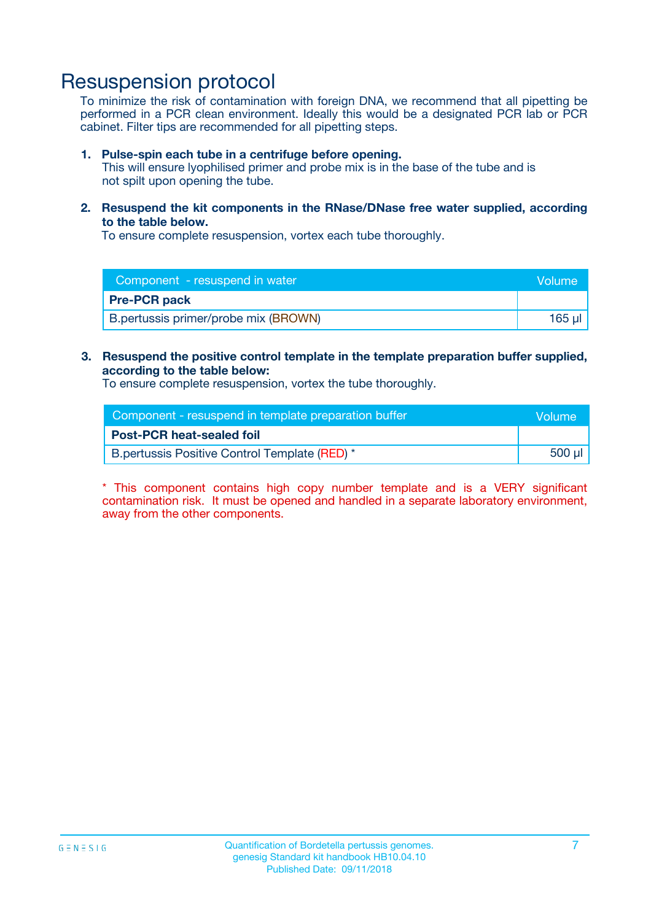### Resuspension protocol

To minimize the risk of contamination with foreign DNA, we recommend that all pipetting be performed in a PCR clean environment. Ideally this would be a designated PCR lab or PCR cabinet. Filter tips are recommended for all pipetting steps.

#### **1. Pulse-spin each tube in a centrifuge before opening.**

This will ensure lyophilised primer and probe mix is in the base of the tube and is not spilt upon opening the tube.

**2. Resuspend the kit components in the RNase/DNase free water supplied, according to the table below.**

To ensure complete resuspension, vortex each tube thoroughly.

| Component - resuspend in water       | <b>Nolume</b> |
|--------------------------------------|---------------|
| <b>Pre-PCR pack</b>                  |               |
| B.pertussis primer/probe mix (BROWN) | 165 ul        |

#### **3. Resuspend the positive control template in the template preparation buffer supplied, according to the table below:**

To ensure complete resuspension, vortex the tube thoroughly.

| Component - resuspend in template preparation buffer |        |  |
|------------------------------------------------------|--------|--|
| <b>Post-PCR heat-sealed foil</b>                     |        |  |
| B.pertussis Positive Control Template (RED) *        | 500 µl |  |

\* This component contains high copy number template and is a VERY significant contamination risk. It must be opened and handled in a separate laboratory environment, away from the other components.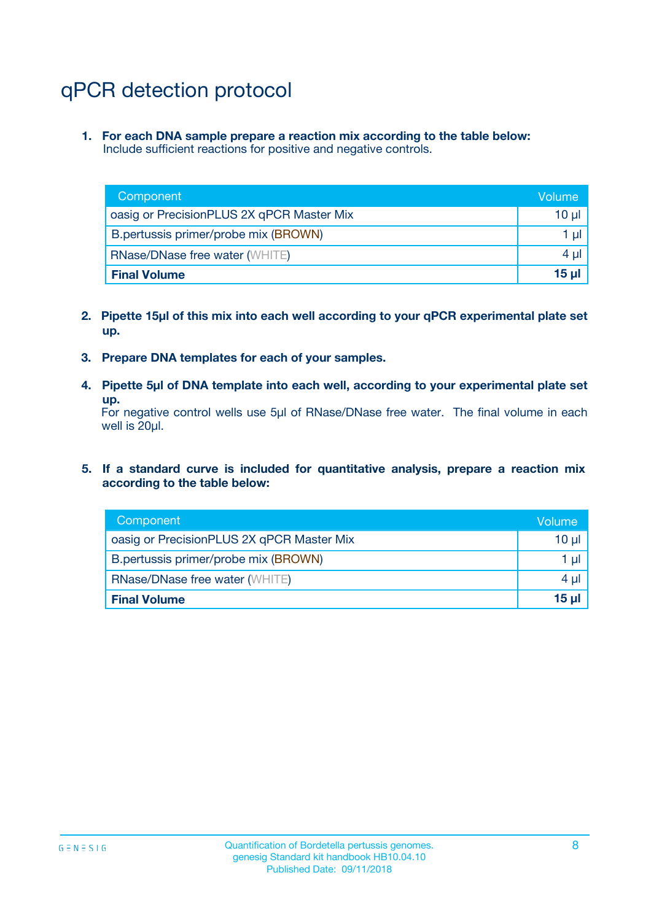# qPCR detection protocol

**1. For each DNA sample prepare a reaction mix according to the table below:** Include sufficient reactions for positive and negative controls.

| Component                                 | Volume           |
|-------------------------------------------|------------------|
| oasig or PrecisionPLUS 2X qPCR Master Mix | 10 $\mu$         |
| B.pertussis primer/probe mix (BROWN)      | 1 $\mu$          |
| <b>RNase/DNase free water (WHITE)</b>     | $4 \mu$          |
| <b>Final Volume</b>                       | 15 <sub>ul</sub> |

- **2. Pipette 15µl of this mix into each well according to your qPCR experimental plate set up.**
- **3. Prepare DNA templates for each of your samples.**
- **4. Pipette 5µl of DNA template into each well, according to your experimental plate set up.**

For negative control wells use 5µl of RNase/DNase free water. The final volume in each well is 20µl.

**5. If a standard curve is included for quantitative analysis, prepare a reaction mix according to the table below:**

| Component                                 | Volume          |
|-------------------------------------------|-----------------|
| oasig or PrecisionPLUS 2X qPCR Master Mix | 10 µl           |
| B.pertussis primer/probe mix (BROWN)      | 1 µI            |
| <b>RNase/DNase free water (WHITE)</b>     | $4 \mu$         |
| <b>Final Volume</b>                       | 15 <sub>µ</sub> |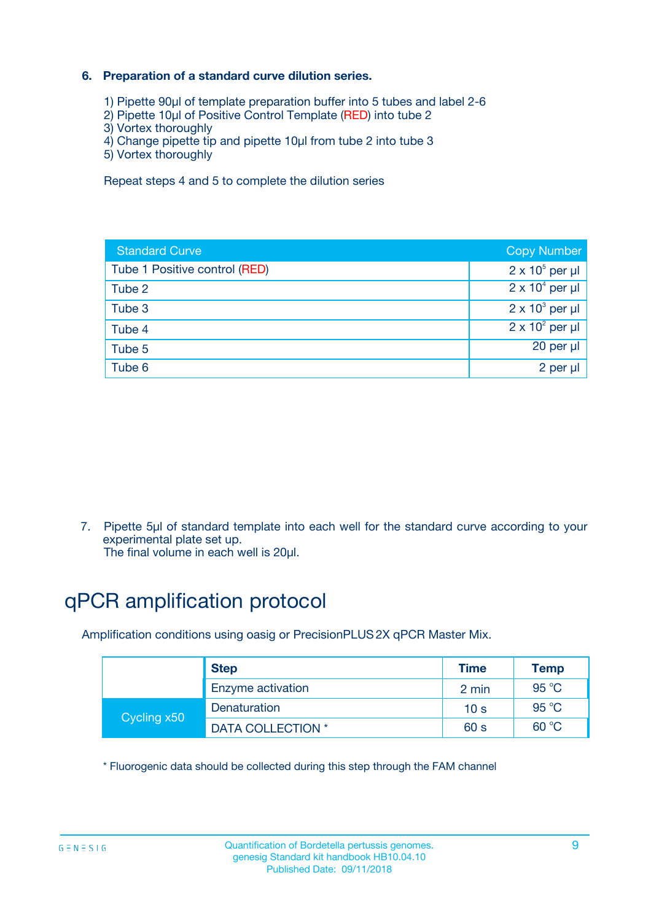### **6. Preparation of a standard curve dilution series.**

- 1) Pipette 90µl of template preparation buffer into 5 tubes and label 2-6
- 2) Pipette 10µl of Positive Control Template (RED) into tube 2
- 3) Vortex thoroughly
- 4) Change pipette tip and pipette 10µl from tube 2 into tube 3
- 5) Vortex thoroughly

Repeat steps 4 and 5 to complete the dilution series

| <b>Standard Curve</b>         | <b>Copy Number</b>     |
|-------------------------------|------------------------|
| Tube 1 Positive control (RED) | $2 \times 10^5$ per µl |
| Tube 2                        | $2 \times 10^4$ per µl |
| Tube 3                        | $2 \times 10^3$ per µl |
| Tube 4                        | $2 \times 10^2$ per µl |
| Tube 5                        | 20 per µl              |
| Tube 6                        | 2 per ul               |

7. Pipette 5µl of standard template into each well for the standard curve according to your experimental plate set up.

The final volume in each well is 20µl.

# qPCR amplification protocol

Amplification conditions using oasig or PrecisionPLUS2X qPCR Master Mix.

|             | <b>Step</b>       | <b>Time</b>     | Temp           |
|-------------|-------------------|-----------------|----------------|
|             | Enzyme activation | 2 min           | $95^{\circ}$ C |
| Cycling x50 | Denaturation      | 10 <sub>s</sub> | 95 $°C$        |
|             | DATA COLLECTION * | 60 s            | 60 °C          |

\* Fluorogenic data should be collected during this step through the FAM channel